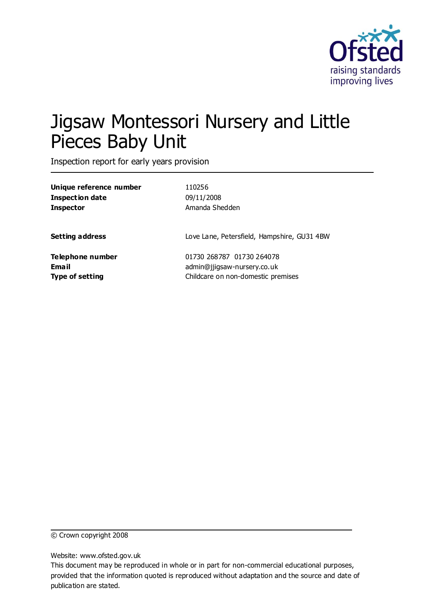

# Jigsaw Montessori Nursery and Little Pieces Baby Unit

Inspection report for early years provision

| Unique reference number | 110256                                      |
|-------------------------|---------------------------------------------|
| Inspection date         | 09/11/2008                                  |
| Inspector               | Amanda Shedden                              |
| <b>Setting address</b>  | Love Lane, Petersfield, Hampshire, GU31 4BW |
| Telephone number        | 01730 268787 01730 264078                   |
| Email                   | admin@jjigsaw-nursery.co.uk                 |
| Type of setting         | Childcare on non-domestic premises          |

© Crown copyright 2008

Website: www.ofsted.gov.uk

This document may be reproduced in whole or in part for non-commercial educational purposes, provided that the information quoted is reproduced without adaptation and the source and date of publication are stated.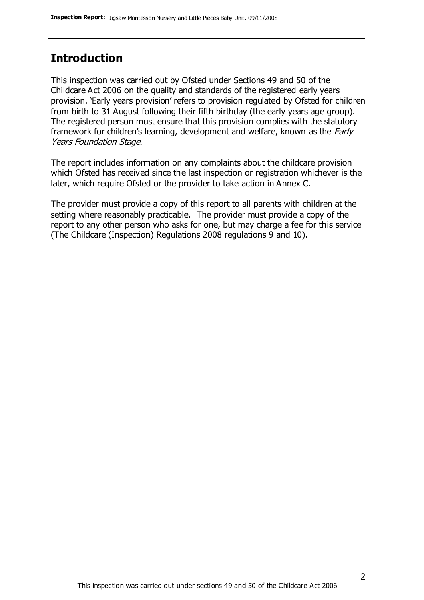# **Introduction**

This inspection was carried out by Ofsted under Sections 49 and 50 of the Childcare Act 2006 on the quality and standards of the registered early years provision. 'Early years provision' refers to provision regulated by Ofsted for children from birth to 31 August following their fifth birthday (the early years age group). The registered person must ensure that this provision complies with the statutory framework for children's learning, development and welfare, known as the *Early* Years Foundation Stage.

The report includes information on any complaints about the childcare provision which Ofsted has received since the last inspection or registration whichever is the later, which require Ofsted or the provider to take action in Annex C.

The provider must provide a copy of this report to all parents with children at the setting where reasonably practicable. The provider must provide a copy of the report to any other person who asks for one, but may charge a fee for this service (The Childcare (Inspection) Regulations 2008 regulations 9 and 10).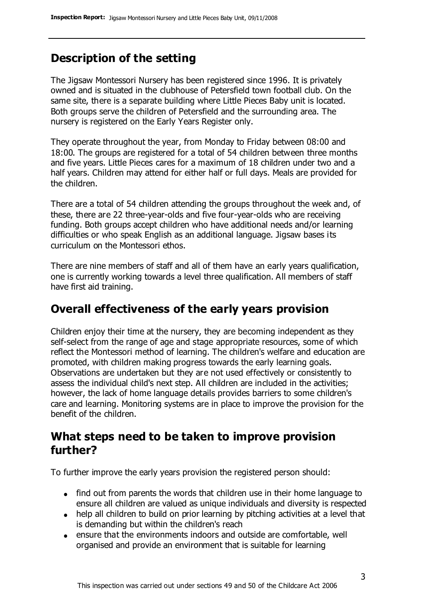# **Description of the setting**

The Jigsaw Montessori Nursery has been registered since 1996. It is privately owned and is situated in the clubhouse of Petersfield town football club. On the same site, there is a separate building where Little Pieces Baby unit is located. Both groups serve the children of Petersfield and the surrounding area. The nursery is registered on the Early Years Register only.

They operate throughout the year, from Monday to Friday between 08:00 and 18:00. The groups are registered for a total of 54 children between three months and five years. Little Pieces cares for a maximum of 18 children under two and a half years. Children may attend for either half or full days. Meals are provided for the children.

There are a total of 54 children attending the groups throughout the week and, of these, there are 22 three-year-olds and five four-year-olds who are receiving funding. Both groups accept children who have additional needs and/or learning difficulties or who speak English as an additional language. Jigsaw bases its curriculum on the Montessori ethos.

There are nine members of staff and all of them have an early years qualification, one is currently working towards a level three qualification. All members of staff have first aid training.

# **Overall effectiveness of the early years provision**

Children enjoy their time at the nursery, they are becoming independent as they self-select from the range of age and stage appropriate resources, some of which reflect the Montessori method of learning. The children's welfare and education are promoted, with children making progress towards the early learning goals. Observations are undertaken but they are not used effectively or consistently to assess the individual child's next step. All children are included in the activities; however, the lack of home language details provides barriers to some children's care and learning. Monitoring systems are in place to improve the provision for the benefit of the children.

# **What steps need to be taken to improve provision further?**

To further improve the early years provision the registered person should:

- find out from parents the words that children use in their home language to ensure all children are valued as unique individuals and diversity is respected
- help all children to build on prior learning by pitching activities at a level that is demanding but within the children's reach
- ensure that the environments indoors and outside are comfortable, well organised and provide an environment that is suitable for learning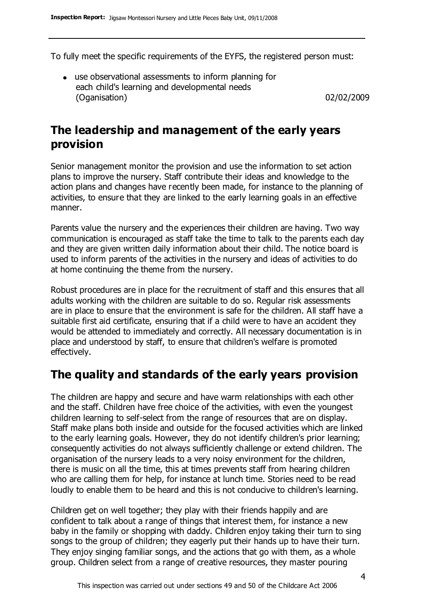To fully meet the specific requirements of the EYFS, the registered person must:

use observational assessments to inform planning for each child's learning and developmental needs (Oganisation) 02/02/2009

# **The leadership and management of the early years provision**

Senior management monitor the provision and use the information to set action plans to improve the nursery. Staff contribute their ideas and knowledge to the action plans and changes have recently been made, for instance to the planning of activities, to ensure that they are linked to the early learning goals in an effective manner.

Parents value the nursery and the experiences their children are having. Two way communication is encouraged as staff take the time to talk to the parents each day and they are given written daily information about their child. The notice board is used to inform parents of the activities in the nursery and ideas of activities to do at home continuing the theme from the nursery.

Robust procedures are in place for the recruitment of staff and this ensures that all adults working with the children are suitable to do so. Regular risk assessments are in place to ensure that the environment is safe for the children. All staff have a suitable first aid certificate, ensuring that if a child were to have an accident they would be attended to immediately and correctly. All necessary documentation is in place and understood by staff, to ensure that children's welfare is promoted effectively.

### **The quality and standards of the early years provision**

The children are happy and secure and have warm relationships with each other and the staff. Children have free choice of the activities, with even the youngest children learning to self-select from the range of resources that are on display. Staff make plans both inside and outside for the focused activities which are linked to the early learning goals. However, they do not identify children's prior learning; consequently activities do not always sufficiently challenge or extend children. The organisation of the nursery leads to a very noisy environment for the children, there is music on all the time, this at times prevents staff from hearing children who are calling them for help, for instance at lunch time. Stories need to be read loudly to enable them to be heard and this is not conducive to children's learning.

Children get on well together; they play with their friends happily and are confident to talk about a range of things that interest them, for instance a new baby in the family or shopping with daddy. Children enjoy taking their turn to sing songs to the group of children; they eagerly put their hands up to have their turn. They enjoy singing familiar songs, and the actions that go with them, as a whole group. Children select from a range of creative resources, they master pouring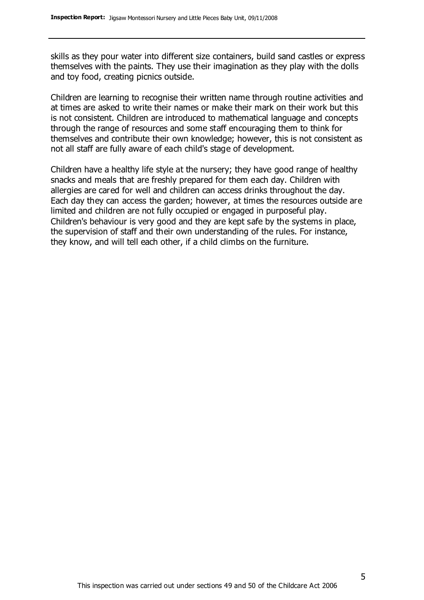skills as they pour water into different size containers, build sand castles or express themselves with the paints. They use their imagination as they play with the dolls and toy food, creating picnics outside.

Children are learning to recognise their written name through routine activities and at times are asked to write their names or make their mark on their work but this is not consistent. Children are introduced to mathematical language and concepts through the range of resources and some staff encouraging them to think for themselves and contribute their own knowledge; however, this is not consistent as not all staff are fully aware of each child's stage of development.

Children have a healthy life style at the nursery; they have good range of healthy snacks and meals that are freshly prepared for them each day. Children with allergies are cared for well and children can access drinks throughout the day. Each day they can access the garden; however, at times the resources outside are limited and children are not fully occupied or engaged in purposeful play. Children's behaviour is very good and they are kept safe by the systems in place, the supervision of staff and their own understanding of the rules. For instance, they know, and will tell each other, if a child climbs on the furniture.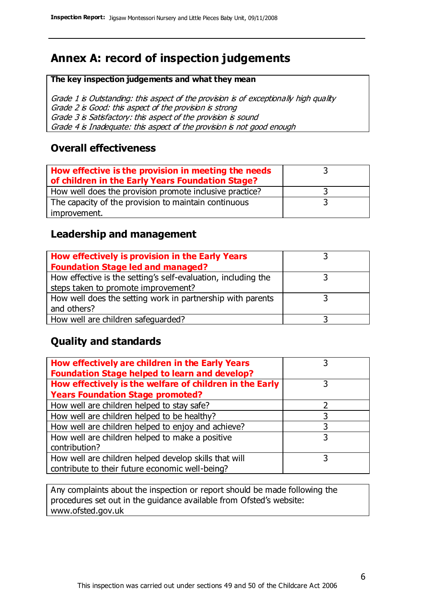# **Annex A: record of inspection judgements**

#### **The key inspection judgements and what they mean**

Grade 1 is Outstanding: this aspect of the provision is of exceptionally high quality Grade 2 is Good: this aspect of the provision is strong Grade 3 is Satisfactory: this aspect of the provision is sound Grade 4 is Inadequate: this aspect of the provision is not good enough

#### **Overall effectiveness**

| How effective is the provision in meeting the needs<br>of children in the Early Years Foundation Stage? |  |
|---------------------------------------------------------------------------------------------------------|--|
| How well does the provision promote inclusive practice?                                                 |  |
| The capacity of the provision to maintain continuous                                                    |  |
| improvement.                                                                                            |  |

#### **Leadership and management**

| How effectively is provision in the Early Years               |  |
|---------------------------------------------------------------|--|
| <b>Foundation Stage led and managed?</b>                      |  |
| How effective is the setting's self-evaluation, including the |  |
| steps taken to promote improvement?                           |  |
| How well does the setting work in partnership with parents    |  |
| and others?                                                   |  |
| How well are children safeguarded?                            |  |

### **Quality and standards**

| How effectively are children in the Early Years<br><b>Foundation Stage helped to learn and develop?</b> |   |
|---------------------------------------------------------------------------------------------------------|---|
| How effectively is the welfare of children in the Early                                                 | 3 |
| <b>Years Foundation Stage promoted?</b>                                                                 |   |
| How well are children helped to stay safe?                                                              |   |
| How well are children helped to be healthy?                                                             | 3 |
| How well are children helped to enjoy and achieve?                                                      | 3 |
| How well are children helped to make a positive                                                         | 3 |
| contribution?                                                                                           |   |
| How well are children helped develop skills that will                                                   |   |
| contribute to their future economic well-being?                                                         |   |

Any complaints about the inspection or report should be made following the procedures set out in the guidance available from Ofsted's website: www.ofsted.gov.uk